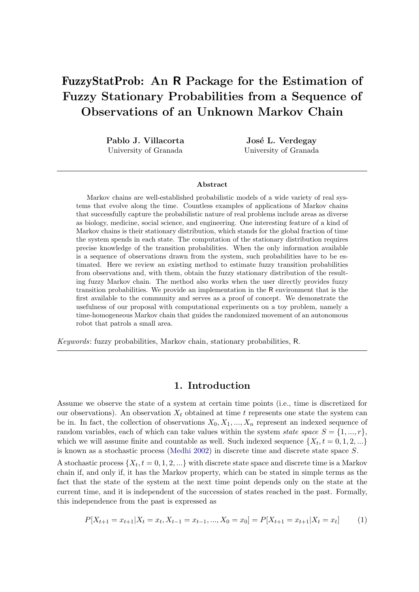# FuzzyStatProb: An R Package for the Estimation of Fuzzy Stationary Probabilities from a Sequence of Observations of an Unknown Markov Chain

Pablo J. Villacorta University of Granada

José L. Verdegay University of Granada

#### Abstract

Markov chains are well-established probabilistic models of a wide variety of real systems that evolve along the time. Countless examples of applications of Markov chains that successfully capture the probabilistic nature of real problems include areas as diverse as biology, medicine, social science, and engineering. One interesting feature of a kind of Markov chains is their stationary distribution, which stands for the global fraction of time the system spends in each state. The computation of the stationary distribution requires precise knowledge of the transition probabilities. When the only information available is a sequence of observations drawn from the system, such probabilities have to be estimated. Here we review an existing method to estimate fuzzy transition probabilities from observations and, with them, obtain the fuzzy stationary distribution of the resulting fuzzy Markov chain. The method also works when the user directly provides fuzzy transition probabilities. We provide an implementation in the R environment that is the first available to the community and serves as a proof of concept. We demonstrate the usefulness of our proposal with computational experiments on a toy problem, namely a time-homogeneous Markov chain that guides the randomized movement of an autonomous robot that patrols a small area.

Keywords: fuzzy probabilities, Markov chain, stationary probabilities, R.

# 1. Introduction

<span id="page-0-0"></span>Assume we observe the state of a system at certain time points (i.e., time is discretized for our observations). An observation  $X_t$  obtained at time t represents one state the system can be in. In fact, the collection of observations  $X_0, X_1, ..., X_n$  represent an indexed sequence of random variables, each of which can take values within the system *state space*  $S = \{1, ..., r\}$ , which we will assume finite and countable as well. Such indexed sequence  $\{X_t, t = 0, 1, 2, ...\}$ is known as a stochastic process [\(Medhi](#page-22-0) [2002\)](#page-22-0) in discrete time and discrete state space S.

A stochastic process  $\{X_t, t = 0, 1, 2, ...\}$  with discrete state space and discrete time is a Markov chain if, and only if, it has the Markov property, which can be stated in simple terms as the fact that the state of the system at the next time point depends only on the state at the current time, and it is independent of the succession of states reached in the past. Formally, this independence from the past is expressed as

$$
P[X_{t+1} = x_{t+1} | X_t = x_t, X_{t-1} = x_{t-1}, ..., X_0 = x_0] = P[X_{t+1} = x_{t+1} | X_t = x_t]
$$
(1)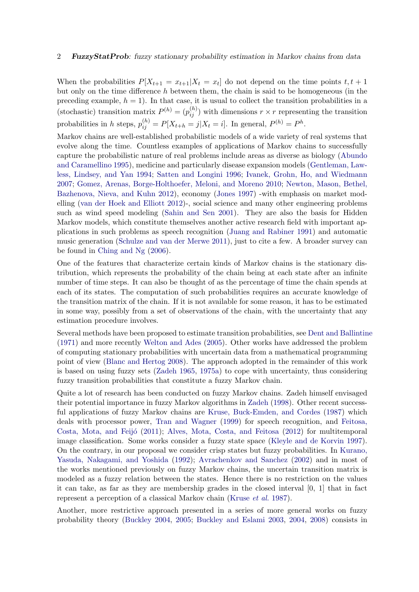When the probabilities  $P[X_{t+1} = x_{t+1} | X_t = x_t]$  do not depend on the time points  $t, t+1$ but only on the time difference  $h$  between them, the chain is said to be homogeneous (in the preceding example,  $h = 1$ ). In that case, it is usual to collect the transition probabilities in a (stochastic) transition matrix  $P^{(h)} = (p_{ij}^{(h)})$  with dimensions  $r \times r$  representing the transition probabilities in h steps,  $p_{ij}^{(h)} = P[X_{t+h} = j | X_t = i]$ . In general,  $P^{(h)} = P^h$ .

Markov chains are well-established probabilistic models of a wide variety of real systems that evolve along the time. Countless examples of applications of Markov chains to successfully capture the probabilistic nature of real problems include areas as diverse as biology [\(Abundo](#page-20-0) [and Caramellino](#page-20-0) [1995\)](#page-20-0), medicine and particularly disease expansion models [\(Gentleman, Law](#page-21-0)[less, Lindsey, and Yan](#page-21-0) [1994;](#page-21-0) [Satten and Longini](#page-22-1) [1996;](#page-22-1) [Ivanek, Grohn, Ho, and Wiedmann](#page-21-1) [2007;](#page-21-1) [Gomez, Arenas, Borge-Holthoefer, Meloni, and Moreno](#page-21-2) [2010;](#page-21-2) [Newton, Mason, Bethel,](#page-22-2) [Bazhenova, Nieva, and Kuhn](#page-22-2) [2012\)](#page-22-2), economy [\(Jones](#page-21-3) [1997\)](#page-21-3) -with emphasis on market modelling [\(van der Hoek and Elliott](#page-23-0) [2012\)](#page-23-0)-, social science and many other engineering problems such as wind speed modeling [\(Sahin and Sen](#page-22-3) [2001\)](#page-22-3). They are also the basis for Hidden Markov models, which constitute themselves another active research field with important applications in such problems as speech recognition [\(Juang and Rabiner](#page-22-4) [1991\)](#page-22-4) and automatic music generation [\(Schulze and van der Merwe](#page-22-5) [2011\)](#page-22-5), just to cite a few. A broader survey can be found in [Ching and Ng](#page-21-4) [\(2006\)](#page-21-4).

One of the features that characterize certain kinds of Markov chains is the stationary distribution, which represents the probability of the chain being at each state after an infinite number of time steps. It can also be thought of as the percentage of time the chain spends at each of its states. The computation of such probabilities requires an accurate knowledge of the transition matrix of the chain. If it is not available for some reason, it has to be estimated in some way, possibly from a set of observations of the chain, with the uncertainty that any estimation procedure involves.

Several methods have been proposed to estimate transition probabilities, see [Dent and Ballintine](#page-21-5) [\(1971\)](#page-21-5) and more recently [Welton and Ades](#page-23-1) [\(2005\)](#page-23-1). Other works have addressed the problem of computing stationary probabilities with uncertain data from a mathematical programming point of view [\(Blanc and Hertog](#page-20-1) [2008\)](#page-20-1). The approach adopted in the remainder of this work is based on using fuzzy sets [\(Zadeh](#page-23-2) [1965,](#page-23-2) [1975a\)](#page-23-3) to cope with uncertainty, thus considering fuzzy transition probabilities that constitute a fuzzy Markov chain.

Quite a lot of research has been conducted on fuzzy Markov chains. Zadeh himself envisaged their potential importance in fuzzy Markov algorithms in [Zadeh](#page-23-4) [\(1998\)](#page-23-4). Other recent successful applications of fuzzy Markov chains are [Kruse, Buck-Emden, and Cordes](#page-22-6) [\(1987\)](#page-22-6) which deals with processor power, [Tran and Wagner](#page-23-5) [\(1999\)](#page-23-5) for speech recognition, and [Feitosa,](#page-21-6) Costa, Mota, and Feijó [\(2011\)](#page-21-6); [Alves, Mota, Costa, and Feitosa](#page-20-2) [\(2012\)](#page-20-2) for multitemporal image classification. Some works consider a fuzzy state space [\(Kleyle and de Korvin](#page-22-7) [1997\)](#page-22-7). On the contrary, in our proposal we consider crisp states but fuzzy probabilities. In [Kurano,](#page-22-8) [Yasuda, Nakagami, and Yoshida](#page-22-8) [\(1992\)](#page-22-8); [Avrachenkov and Sanchez](#page-20-3) [\(2002\)](#page-20-3) and in most of the works mentioned previously on fuzzy Markov chains, the uncertain transition matrix is modeled as a fuzzy relation between the states. Hence there is no restriction on the values it can take, as far as they are membership grades in the closed interval [0, 1] that in fact represent a perception of a classical Markov chain [\(Kruse](#page-22-6) et al. [1987\)](#page-22-6).

Another, more restrictive approach presented in a series of more general works on fuzzy probability theory [\(Buckley](#page-21-7) [2004,](#page-21-7) [2005;](#page-21-8) [Buckley and Eslami](#page-21-9) [2003,](#page-21-9) [2004,](#page-21-10) [2008\)](#page-21-11) consists in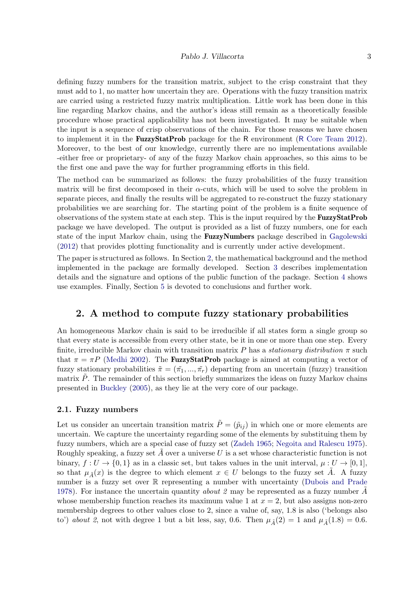defining fuzzy numbers for the transition matrix, subject to the crisp constraint that they must add to 1, no matter how uncertain they are. Operations with the fuzzy transition matrix are carried using a restricted fuzzy matrix multiplication. Little work has been done in this line regarding Markov chains, and the author's ideas still remain as a theoretically feasible procedure whose practical applicability has not been investigated. It may be suitable when the input is a sequence of crisp observations of the chain. For those reasons we have chosen to implement it in the **FuzzyStatProb** package for the R environment (R [Core Team](#page-22-9) [2012\)](#page-22-9). Moreover, to the best of our knowledge, currently there are no implementations available -either free or proprietary- of any of the fuzzy Markov chain approaches, so this aims to be the first one and pave the way for further programming efforts in this field.

The method can be summarized as follows: the fuzzy probabilities of the fuzzy transition matrix will be first decomposed in their  $\alpha$ -cuts, which will be used to solve the problem in separate pieces, and finally the results will be aggregated to re-construct the fuzzy stationary probabilities we are searching for. The starting point of the problem is a finite sequence of observations of the system state at each step. This is the input required by the **FuzzyStatProb** package we have developed. The output is provided as a list of fuzzy numbers, one for each state of the input Markov chain, using the **FuzzyNumbers** package described in [Gagolewski](#page-21-12) [\(2012\)](#page-21-12) that provides plotting functionality and is currently under active development.

The paper is structured as follows. In Section [2,](#page-2-0) the mathematical background and the method implemented in the package are formally developed. Section [3](#page-7-0) describes implementation details and the signature and options of the public function of the package. Section [4](#page-11-0) shows use examples. Finally, Section [5](#page-18-0) is devoted to conclusions and further work.

# <span id="page-2-0"></span>2. A method to compute fuzzy stationary probabilities

An homogeneous Markov chain is said to be irreducible if all states form a single group so that every state is accessible from every other state, be it in one or more than one step. Every finite, irreducible Markov chain with transition matrix P has a stationary distribution  $\pi$  such that  $\pi = \pi P$  [\(Medhi](#page-22-0) [2002\)](#page-22-0). The **FuzzyStatProb** package is aimed at computing a vector of fuzzy stationary probabilities  $\tilde{\pi} = (\tilde{\pi}_1, ..., \tilde{\pi}_r)$  departing from an uncertain (fuzzy) transition matrix  $P$ . The remainder of this section briefly summarizes the ideas on fuzzy Markov chains presented in [Buckley](#page-21-8) [\(2005\)](#page-21-8), as they lie at the very core of our package.

#### 2.1. Fuzzy numbers

Let us consider an uncertain transition matrix  $\tilde{P} = (\tilde{p}_{ij})$  in which one or more elements are uncertain. We capture the uncertainty regarding some of the elements by substituing them by fuzzy numbers, which are a special case of fuzzy set [\(Zadeh](#page-23-2) [1965;](#page-23-2) [Negoita and Ralescu](#page-22-10) [1975\)](#page-22-10). Roughly speaking, a fuzzy set  $A$  over a universe  $U$  is a set whose characteristic function is not binary,  $f: U \to \{0,1\}$  as in a classic set, but takes values in the unit interval,  $\mu: U \to [0,1],$ so that  $\mu_{\tilde{A}}(x)$  is the degree to which element  $x \in U$  belongs to the fuzzy set A. A fuzzy number is a fuzzy set over R representing a number with uncertainty [\(Dubois and Prade](#page-21-13) [1978\)](#page-21-13). For instance the uncertain quantity *about 2* may be represented as a fuzzy number  $A$ whose membership function reaches its maximum value 1 at  $x = 2$ , but also assigns non-zero membership degrees to other values close to 2, since a value of, say, 1.8 is also ('belongs also to') about 2, not with degree 1 but a bit less, say, 0.6. Then  $\mu_{\tilde{A}}(2) = 1$  and  $\mu_{\tilde{A}}(1.8) = 0.6$ .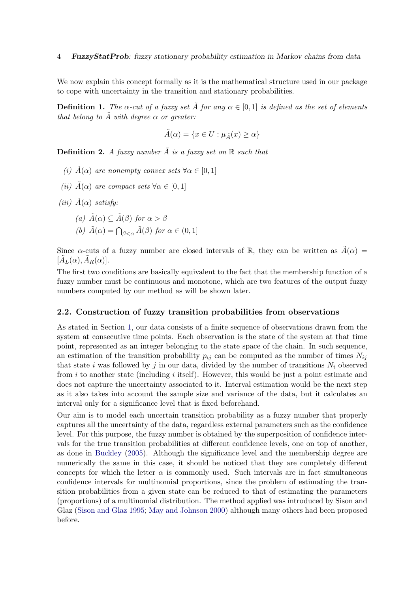We now explain this concept formally as it is the mathematical structure used in our package to cope with uncertainty in the transition and stationary probabilities.

**Definition 1.** The  $\alpha$ -cut of a fuzzy set  $\tilde{A}$  for any  $\alpha \in [0,1]$  is defined as the set of elements that belong to  $\tilde{A}$  with degree  $\alpha$  or greater:

$$
\tilde{A}(\alpha) = \{ x \in U : \mu_{\tilde{A}}(x) \ge \alpha \}
$$

**Definition 2.** A fuzzy number  $\tilde{A}$  is a fuzzy set on  $\mathbb{R}$  such that

- (i)  $\tilde{A}(\alpha)$  are nonempty convex sets  $\forall \alpha \in [0,1]$
- (ii)  $\tilde{A}(\alpha)$  are compact sets  $\forall \alpha \in [0,1]$
- (iii)  $\tilde{A}(\alpha)$  satisfy:
	- (a)  $\tilde{A}(\alpha) \subseteq \tilde{A}(\beta)$  for  $\alpha > \beta$ (b)  $\tilde{A}(\alpha) = \bigcap_{\beta < \alpha} \tilde{A}(\beta)$  for  $\alpha \in (0, 1]$

Since  $\alpha$ -cuts of a fuzzy number are closed intervals of R, they can be written as  $\tilde{A}(\alpha)$  =  $[\tilde{A}_L(\alpha), \tilde{A}_R(\alpha)].$ 

The first two conditions are basically equivalent to the fact that the membership function of a fuzzy number must be continuous and monotone, which are two features of the output fuzzy numbers computed by our method as will be shown later.

#### 2.2. Construction of fuzzy transition probabilities from observations

As stated in Section [1,](#page-0-0) our data consists of a finite sequence of observations drawn from the system at consecutive time points. Each observation is the state of the system at that time point, represented as an integer belonging to the state space of the chain. In such sequence, an estimation of the transition probability  $p_{ij}$  can be computed as the number of times  $N_{ij}$ that state i was followed by j in our data, divided by the number of transitions  $N_i$  observed from i to another state (including i itself). However, this would be just a point estimate and does not capture the uncertainty associated to it. Interval estimation would be the next step as it also takes into account the sample size and variance of the data, but it calculates an interval only for a significance level that is fixed beforehand.

Our aim is to model each uncertain transition probability as a fuzzy number that properly captures all the uncertainty of the data, regardless external parameters such as the confidence level. For this purpose, the fuzzy number is obtained by the superposition of confidence intervals for the true transition probabilities at different confidence levels, one on top of another, as done in [Buckley](#page-21-8) [\(2005\)](#page-21-8). Although the significance level and the membership degree are numerically the same in this case, it should be noticed that they are completely different concepts for which the letter  $\alpha$  is commonly used. Such intervals are in fact simultaneous confidence intervals for multinomial proportions, since the problem of estimating the transition probabilities from a given state can be reduced to that of estimating the parameters (proportions) of a multinomial distribution. The method applied was introduced by Sison and Glaz [\(Sison and Glaz](#page-22-11) [1995;](#page-22-11) [May and Johnson](#page-22-12) [2000\)](#page-22-12) although many others had been proposed before.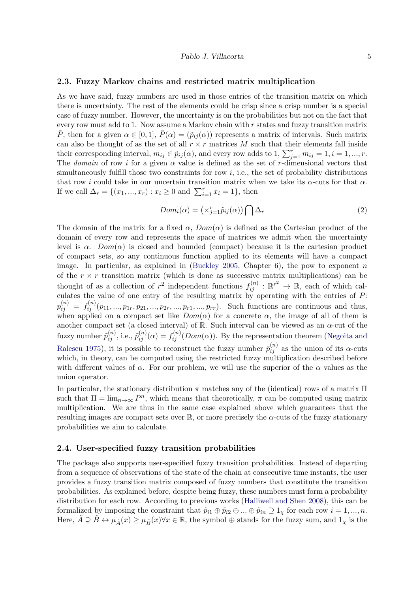#### <span id="page-4-0"></span>2.3. Fuzzy Markov chains and restricted matrix multiplication

As we have said, fuzzy numbers are used in those entries of the transition matrix on which there is uncertainty. The rest of the elements could be crisp since a crisp number is a special case of fuzzy number. However, the uncertainty is on the probabilities but not on the fact that every row must add to 1. Now assume a Markov chain with  $r$  states and fuzzy transition matrix  $\tilde{P}$ , then for a given  $\alpha \in [0,1], \tilde{P}(\alpha) = (\tilde{p}_{ij}(\alpha))$  represents a matrix of intervals. Such matrix can also be thought of as the set of all  $r \times r$  matrices M such that their elements fall inside their corresponding interval,  $m_{ij} \in \tilde{p}_{ij}(\alpha)$ , and every row adds to  $1, \sum_{j=1}^{r} m_{ij} = 1, i = 1, ..., r$ . The domain of row i for a given  $\alpha$  value is defined as the set of r-dimensional vectors that simultaneously fulfill those two constraints for row  $i$ , i.e., the set of probability distributions that row i could take in our uncertain transition matrix when we take its  $\alpha$ -cuts for that  $\alpha$ . If we call  $\Delta_r = \{(x_1, ..., x_r) : x_i \ge 0 \text{ and } \sum_{i=1}^r x_i = 1\}$ , then

$$
Dom_i(\alpha) = \left(\times_{j=1}^r \tilde{p}_{ij}(\alpha)\right) \bigcap \Delta_r \tag{2}
$$

The domain of the matrix for a fixed  $\alpha$ ,  $Dom(\alpha)$  is defined as the Cartesian product of the domain of every row and represents the space of matrices we admit when the uncertainty level is  $\alpha$ .  $Dom(\alpha)$  is closed and bounded (compact) because it is the cartesian product of compact sets, so any continuous function applied to its elements will have a compact image. In particular, as explained in [\(Buckley](#page-21-8) [2005,](#page-21-8) Chapter 6), the pow to exponent n of the  $r \times r$  transition matrix (which is done as successive matrix multiplications) can be thought of as a collection of  $r^2$  independent functions  $f_{ij}^{(n)} : \mathbb{R}^{r^2} \to \mathbb{R}$ , each of which calculates the value of one entry of the resulting matrix by operating with the entries of P:  $p_{ij}^{(n)} = f_{ij}^{(n)}(p_{11},...,p_{1r},p_{21},...,p_{2r},...,p_{r1},...,p_{rr}).$  Such functions are continuous and thus, when applied on a compact set like  $Dom(\alpha)$  for a concrete  $\alpha$ , the image of all of them is another compact set (a closed interval) of  $\mathbb R$ . Such interval can be viewed as an  $\alpha$ -cut of the fuzzy number  $\tilde{p}_{ij}^{(n)}$ , i.e.,  $\tilde{p}_{ij}^{(n)}(\alpha) = f_{ij}^{(n)}(Dom(\alpha))$ . By the representation theorem [\(Negoita and](#page-22-10) [Ralescu](#page-22-10) [1975\)](#page-22-10), it is possible to reconstruct the fuzzy number  $\tilde{p}_{ij}^{(n)}$  as the union of its  $\alpha$ -cuts which, in theory, can be computed using the restricted fuzzy multiplication described before with different values of  $\alpha$ . For our problem, we will use the superior of the  $\alpha$  values as the union operator.

In particular, the stationary distribution  $\pi$  matches any of the (identical) rows of a matrix  $\Pi$ such that  $\Pi = \lim_{n \to \infty} P^n$ , which means that theoretically,  $\pi$  can be computed using matrix multiplication. We are thus in the same case explained above which guarantees that the resulting images are compact sets over  $\mathbb R$ , or more precisely the  $\alpha$ -cuts of the fuzzy stationary probabilities we aim to calculate.

#### <span id="page-4-1"></span>2.4. User-specified fuzzy transition probabilities

The package also supports user-specified fuzzy transition probabilities. Instead of departing from a sequence of observations of the state of the chain at consecutive time instants, the user provides a fuzzy transition matrix composed of fuzzy numbers that constitute the transition probabilities. As explained before, despite being fuzzy, these numbers must form a probability distribution for each row. According to previous works [\(Halliwell and Shen](#page-21-14) [2008\)](#page-21-14), this can be formalized by imposing the constraint that  $\tilde{p}_{i1} \oplus \tilde{p}_{i2} \oplus ... \oplus \tilde{p}_{in} \supseteq 1_{\chi}$  for each row  $i = 1, ..., n$ . Here,  $\tilde{A} \supseteq \tilde{B} \leftrightarrow \mu_{\tilde{A}}(x) \geq \mu_{\tilde{B}}(x) \forall x \in \mathbb{R}$ , the symbol  $\oplus$  stands for the fuzzy sum, and  $1_x$  is the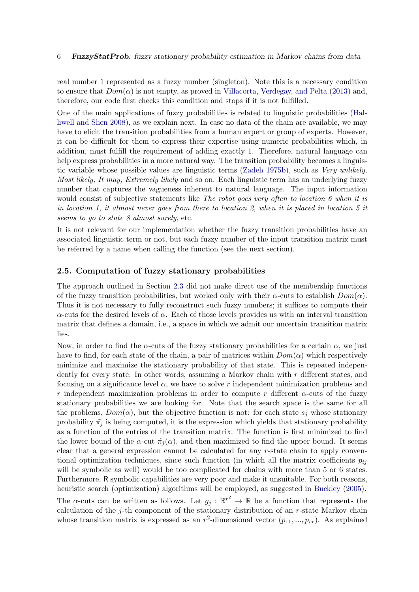real number 1 represented as a fuzzy number (singleton). Note this is a necessary condition to ensure that  $Dom(\alpha)$  is not empty, as proved in [Villacorta, Verdegay, and Pelta](#page-23-6) [\(2013\)](#page-23-6) and, therefore, our code first checks this condition and stops if it is not fulfilled.

One of the main applications of fuzzy probabilities is related to linguistic probabilities [\(Hal](#page-21-14)[liwell and Shen](#page-21-14) [2008\)](#page-21-14), as we explain next. In case no data of the chain are available, we may have to elicit the transition probabilities from a human expert or group of experts. However, it can be difficult for them to express their expertise using numeric probabilities which, in addition, must fulfill the requirement of adding exactly 1. Therefore, natural language can help express probabilities in a more natural way. The transition probability becomes a linguistic variable whose possible values are linguistic terms [\(Zadeh](#page-23-7) [1975b\)](#page-23-7), such as Very unlikely, Most likely, It may, Extremely likely and so on. Each linguistic term has an underlying fuzzy number that captures the vagueness inherent to natural language. The input information would consist of subjective statements like The robot goes very often to location 6 when it is in location 1, it almost never goes from there to location 2, when it is placed in location 5 it seems to go to state 8 almost surely, etc.

It is not relevant for our implementation whether the fuzzy transition probabilities have an associated linguistic term or not, but each fuzzy number of the input transition matrix must be referred by a name when calling the function (see the next section).

#### <span id="page-5-0"></span>2.5. Computation of fuzzy stationary probabilities

The approach outlined in Section [2.3](#page-4-0) did not make direct use of the membership functions of the fuzzy transition probabilities, but worked only with their  $\alpha$ -cuts to establish  $Dom(\alpha)$ . Thus it is not necessary to fully reconstruct such fuzzy numbers; it suffices to compute their  $\alpha$ -cuts for the desired levels of  $\alpha$ . Each of those levels provides us with an interval transition matrix that defines a domain, i.e., a space in which we admit our uncertain transition matrix lies.

Now, in order to find the  $\alpha$ -cuts of the fuzzy stationary probabilities for a certain  $\alpha$ , we just have to find, for each state of the chain, a pair of matrices within  $Dom(\alpha)$  which respectively minimize and maximize the stationary probability of that state. This is repeated independently for every state. In other words, assuming a Markov chain with r different states, and focusing on a significance level  $\alpha$ , we have to solve r independent minimization problems and r independent maximization problems in order to compute r different  $\alpha$ -cuts of the fuzzy stationary probabilities we are looking for. Note that the search space is the same for all the problems,  $Dom(\alpha)$ , but the objective function is not: for each state  $s_i$  whose stationary probability  $\tilde{\pi}_j$  is being computed, it is the expression which yields that stationary probability as a function of the entries of the transition matrix. The function is first minimized to find the lower bound of the  $\alpha$ -cut  $\tilde{\pi}_i(\alpha)$ , and then maximized to find the upper bound. It seems clear that a general expression cannot be calculated for any r-state chain to apply conventional optimization techniques, since such function (in which all the matrix coefficients  $p_{ij}$ will be symbolic as well) would be too complicated for chains with more than 5 or 6 states. Furthermore, R symbolic capabilities are very poor and make it unsuitable. For both reasons, heuristic search (optimization) algorithms will be employed, as suggested in [Buckley](#page-21-8) [\(2005\)](#page-21-8). The  $\alpha$ -cuts can be written as follows. Let  $g_j : \mathbb{R}^{r^2} \to \mathbb{R}$  be a function that represents the calculation of the j-th component of the stationary distribution of an  $r$ -state Markov chain

whose transition matrix is expressed as an  $r^2$ -dimensional vector  $(p_{11},...,p_{rr})$ . As explained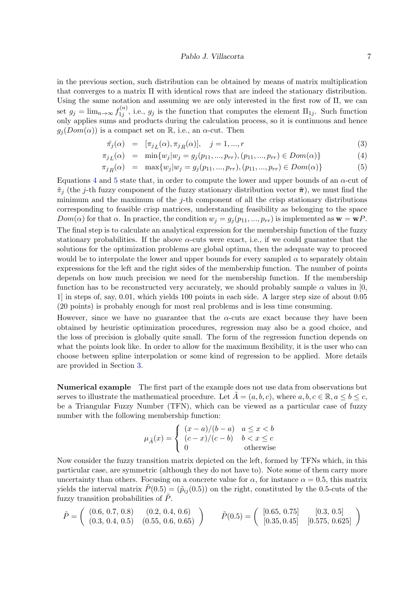in the previous section, such distribution can be obtained by means of matrix multiplication that converges to a matrix Π with identical rows that are indeed the stationary distribution. Using the same notation and assuming we are only interested in the first row of Π, we can set  $g_j = \lim_{n \to \infty} f_{1j}^{(n)}$  $1_{1j}^{(n)}$ , i.e.,  $g_j$  is the function that computes the element  $\Pi_{1j}$ . Such function only applies sums and products during the calculation process, so it is continuous and hence  $g_i(Dom(\alpha))$  is a compact set on R, i.e., an  $\alpha$ -cut. Then

<span id="page-6-0"></span>
$$
\tilde{\pi_j}(\alpha) = [\pi_{j}(\alpha), \pi_{j}(\alpha)], \quad j = 1, ..., r
$$
\n(3)

$$
\pi_{j}(\alpha) = \min\{w_j | w_j = g_j(p_{11}, ..., p_{rr}), (p_{11}, ..., p_{rr}) \in Dom(\alpha)\}\tag{4}
$$

$$
\pi_{jR}(\alpha) = \max\{w_j | w_j = g_j(p_{11}, ..., p_{rr}), (p_{11}, ..., p_{rr}) \in Dom(\alpha)\}\tag{5}
$$

Equations [4](#page-6-0) and [5](#page-6-0) state that, in order to compute the lower and upper bounds of an  $\alpha$ -cut of  $\tilde{\pi}_j$  (the j-th fuzzy component of the fuzzy stationary distribution vector  $\tilde{\pi}$ ), we must find the minimum and the maximum of the  $j$ -th component of all the crisp stationary distributions corresponding to feasible crisp matrices, understanding feasibility as belonging to the space  $Dom(\alpha)$  for that  $\alpha$ . In practice, the condition  $w_j = g_j(p_{11},...,p_{rr})$  is implemented as  $\mathbf{w} = \mathbf{w}P$ . The final step is to calculate an analytical expression for the membership function of the fuzzy stationary probabilities. If the above  $\alpha$ -cuts were exact, i.e., if we could guarantee that the solutions for the optimization problems are global optima, then the adequate way to proceed would be to interpolate the lower and upper bounds for every sampled  $\alpha$  to separately obtain expressions for the left and the right sides of the membership function. The number of points depends on how much precision we need for the membership function. If the membership function has to be reconstructed very accurately, we should probably sample  $\alpha$  values in [0, 1] in steps of, say, 0.01, which yields 100 points in each side. A larger step size of about 0.05 (20 points) is probably enough for most real problems and is less time consuming.

However, since we have no guarantee that the  $\alpha$ -cuts are exact because they have been obtained by heuristic optimization procedures, regression may also be a good choice, and the loss of precision is globally quite small. The form of the regression function depends on what the points look like. In order to allow for the maximum flexibility, it is the user who can choose between spline interpolation or some kind of regression to be applied. More details are provided in Section [3.](#page-7-0)

Numerical example The first part of the example does not use data from observations but serves to illustrate the mathematical procedure. Let  $\tilde{A} = (a, b, c)$ , where  $a, b, c \in \mathbb{R}, a \le b \le c$ , be a Triangular Fuzzy Number (TFN), which can be viewed as a particular case of fuzzy number with the following membership function:

$$
\mu_{\tilde{A}}(x) = \begin{cases}\n(x-a)/(b-a) & a \le x < b \\
(c-x)/(c-b) & b < x \le c \\
0 & \text{otherwise}\n\end{cases}
$$

Now consider the fuzzy transition matrix depicted on the left, formed by TFNs which, in this particular case, are symmetric (although they do not have to). Note some of them carry more uncertainty than others. Focusing on a concrete value for  $\alpha$ , for instance  $\alpha = 0.5$ , this matrix yields the interval matrix  $\tilde{P}(0.5) = (\tilde{p}_{ij}(0.5))$  on the right, constituted by the 0.5-cuts of the fuzzy transition probabilities of  $\ddot{P}$ .

$$
\tilde{P} = \left( \begin{array}{cc} (0.6, 0.7, 0.8) & (0.2, 0.4, 0.6) \\ (0.3, 0.4, 0.5) & (0.55, 0.6, 0.65) \end{array} \right) \qquad \tilde{P}(0.5) = \left( \begin{array}{cc} [0.65, 0.75] & [0.3, 0.5] \\ [0.35, 0.45] & [0.575, 0.625] \end{array} \right)
$$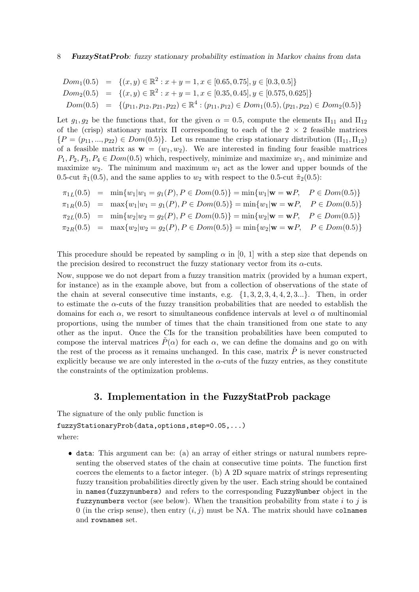$$
Dom_1(0.5) = \{(x, y) \in \mathbb{R}^2 : x + y = 1, x \in [0.65, 0.75], y \in [0.3, 0.5] \}
$$
  
\n
$$
Dom_2(0.5) = \{(x, y) \in \mathbb{R}^2 : x + y = 1, x \in [0.35, 0.45], y \in [0.575, 0.625] \}
$$
  
\n
$$
Dom(0.5) = \{(p_{11}, p_{12}, p_{21}, p_{22}) \in \mathbb{R}^4 : (p_{11}, p_{12}) \in Dom_1(0.5), (p_{21}, p_{22}) \in Dom_2(0.5) \}
$$

Let  $g_1, g_2$  be the functions that, for the given  $\alpha = 0.5$ , compute the elements  $\Pi_{11}$  and  $\Pi_{12}$ of the (crisp) stationary matrix  $\Pi$  corresponding to each of the 2  $\times$  2 feasible matrices  ${P = (p_{11}, ..., p_{22}) \in Dom(0.5)}$ . Let us rename the crisp stationary distribution  $(\Pi_{11}, \Pi_{12})$ of a feasible matrix as  $\mathbf{w} = (w_1, w_2)$ . We are interested in finding four feasible matrices  $P_1, P_2, P_3, P_4 \in Dom(0.5)$  which, respectively, minimize and maximize  $w_1$ , and minimize and maximize  $w_2$ . The minimum and maximum  $w_1$  act as the lower and upper bounds of the 0.5-cut  $\tilde{\pi}_1(0.5)$ , and the same applies to  $w_2$  with respect to the 0.5-cut  $\tilde{\pi}_2(0.5)$ :

|  | $\pi_{1L}(0.5) = \min\{w_1 w_1 = g_1(P), P \in Dom(0.5)\} = \min\{w_1 \mathbf{w} = \mathbf{w}P, P \in Dom(0.5)\}\$   |  |
|--|----------------------------------------------------------------------------------------------------------------------|--|
|  | $\pi_{1R}(0.5) = \max\{w_1 w_1 = g_1(P), P \in Dom(0.5)\} = \min\{w_1 \mathbf{w} = \mathbf{w}P, P \in Dom(0.5)\}\$   |  |
|  | $\pi_{2L}(0.5)$ = $\min\{w_2 w_2 = g_2(P), P \in Dom(0.5)\} = \min\{w_2 \mathbf{w} = \mathbf{w}P, P \in Dom(0.5)\}\$ |  |
|  | $\pi_{2R}(0.5) = \max\{w_2 w_2 = g_2(P), P \in Dom(0.5)\} = \min\{w_2 \mathbf{w} = \mathbf{w}P, P \in Dom(0.5)\}\$   |  |

This procedure should be repeated by sampling  $\alpha$  in [0, 1] with a step size that depends on the precision desired to reconstruct the fuzzy stationary vector from its  $\alpha$ -cuts.

Now, suppose we do not depart from a fuzzy transition matrix (provided by a human expert, for instance) as in the example above, but from a collection of observations of the state of the chain at several consecutive time instants, e.g.  $\{1, 3, 2, 3, 4, 4, 2, 3...\}$ . Then, in order to estimate the  $\alpha$ -cuts of the fuzzy transition probabilities that are needed to establish the domains for each  $\alpha$ , we resort to simultaneous confidence intervals at level  $\alpha$  of multinomial proportions, using the number of times that the chain transitioned from one state to any other as the input. Once the CIs for the transition probabilities have been computed to compose the interval matrices  $\tilde{P}(\alpha)$  for each  $\alpha$ , we can define the domains and go on with the rest of the process as it remains unchanged. In this case, matrix  $\tilde{P}$  is never constructed explicitly because we are only interested in the  $\alpha$ -cuts of the fuzzy entries, as they constitute the constraints of the optimization problems.

# 3. Implementation in the FuzzyStatProb package

<span id="page-7-0"></span>The signature of the only public function is fuzzyStationaryProb(data,options,step=0.05,...) where:

 data: This argument can be: (a) an array of either strings or natural numbers representing the observed states of the chain at consecutive time points. The function first coerces the elements to a factor integer. (b) A 2D square matrix of strings representing fuzzy transition probabilities directly given by the user. Each string should be contained in names(fuzzynumbers) and refers to the corresponding FuzzyNumber object in the fuzzynumbers vector (see below). When the transition probability from state  $i$  to  $j$  is 0 (in the crisp sense), then entry  $(i, j)$  must be NA. The matrix should have colnames and rownames set.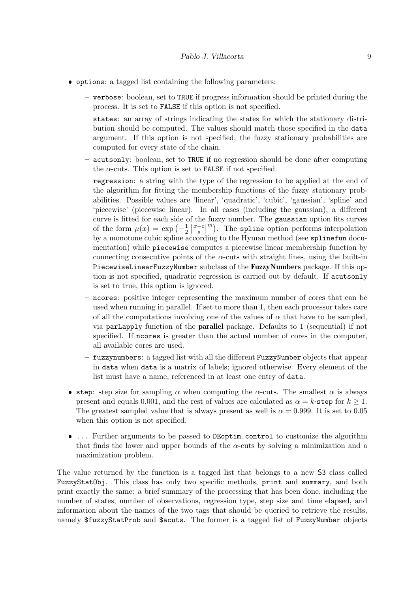- options: a tagged list containing the following parameters:
	- verbose: boolean, set to TRUE if progress information should be printed during the process. It is set to FALSE if this option is not specified.
	- states: an array of strings indicating the states for which the stationary distribution should be computed. The values should match those specified in the data argument. If this option is not specified, the fuzzy stationary probabilities are computed for every state of the chain.
	- acutsonly: boolean, set to TRUE if no regression should be done after computing the  $\alpha$ -cuts. This option is set to FALSE if not specified.
	- regression: a string with the type of the regression to be applied at the end of the algorithm for fitting the membership functions of the fuzzy stationary probabilities. Possible values are 'linear', 'quadratic', 'cubic', 'gaussian', 'spline' and 'piecewise' (piecewise linear). In all cases (including the gaussian), a different curve is fitted for each side of the fuzzy number. The gaussian option fits curves of the form  $\mu(x) = \exp\left(-\frac{1}{2}\right)$  $\frac{1}{2} \left| \frac{x-c}{s} \right|^m$ ). The spline option performs interpolation by a monotone cubic spline according to the Hyman method (see splinefun documentation) while piecewise computes a piecewise linear membership function by connecting consecutive points of the  $\alpha$ -cuts with straight lines, using the built-in PiecewiseLinearFuzzyNumber subclass of the FuzzyNumbers package. If this option is not specified, quadratic regression is carried out by default. If acutsonly is set to true, this option is ignored.
	- ncores: positive integer representing the maximum number of cores that can be used when running in parallel. If set to more than 1, then each processor takes care of all the computations involving one of the values of  $\alpha$  that have to be sampled, via parLapply function of the parallel package. Defaults to 1 (sequential) if not specified. If ncores is greater than the actual number of cores in the computer, all available cores are used.
	- fuzzynumbers: a tagged list with all the different FuzzyNumber objects that appear in data when data is a matrix of labels; ignored otherwise. Every element of the list must have a name, referenced in at least one entry of data.
- step: step size for sampling  $\alpha$  when computing the  $\alpha$ -cuts. The smallest  $\alpha$  is always present and equals 0.001, and the rest of values are calculated as  $\alpha = k \text{-step}$  for  $k \geq 1$ . The greatest sampled value that is always present as well is  $\alpha = 0.999$ . It is set to 0.05 when this option is not specified.
- ... Further arguments to be passed to DEoptim.control to customize the algorithm that finds the lower and upper bounds of the  $\alpha$ -cuts by solving a minimization and a maximization problem.

The value returned by the function is a tagged list that belongs to a new S3 class called FuzzyStatObj. This class has only two specific methods, print and summary, and both print exactly the same: a brief summary of the processing that has been done, including the number of states, number of observations, regression type, step size and time elapsed, and information about the names of the two tags that should be queried to retrieve the results, namely \$fuzzyStatProb and \$acuts. The former is a tagged list of FuzzyNumber objects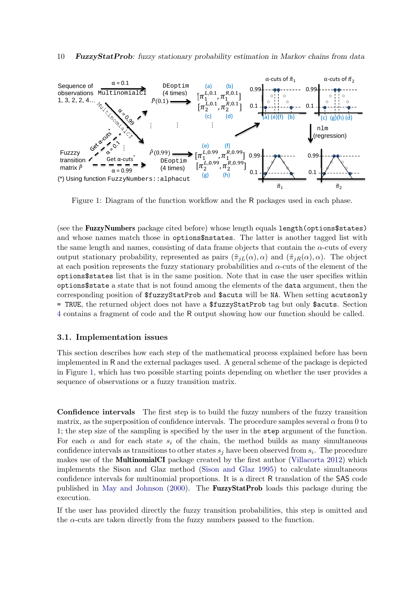<span id="page-9-0"></span>

Figure 1: Diagram of the function workflow and the R packages used in each phase.

(see the FuzzyNumbers package cited before) whose length equals length(options\$states) and whose names match those in options\$nstates. The latter is another tagged list with the same length and names, consisting of data frame objects that contain the  $\alpha$ -cuts of every output stationary probability, represented as pairs  $(\tilde{\pi}_{iL}(\alpha), \alpha)$  and  $(\tilde{\pi}_{iR}(\alpha), \alpha)$ . The object at each position represents the fuzzy stationary probabilities and  $\alpha$ -cuts of the element of the options\$states list that is in the same position. Note that in case the user specifies within options\$state a state that is not found among the elements of the data argument, then the corresponding position of \$fuzzyStatProb and \$acuts will be NA. When setting acutsonly = TRUE, the returned object does not have a \$fuzzyStatProb tag but only \$acuts. Section [4](#page-11-0) contains a fragment of code and the R output showing how our function should be called.

#### 3.1. Implementation issues

This section describes how each step of the mathematical process explained before has been implemented in R and the external packages used. A general scheme of the package is depicted in Figure [1,](#page-9-0) which has two possible starting points depending on whether the user provides a sequence of observations or a fuzzy transition matrix.

Confidence intervals The first step is to build the fuzzy numbers of the fuzzy transition matrix, as the superposition of confidence intervals. The procedure samples several  $\alpha$  from 0 to 1; the step size of the sampling is specified by the user in the step argument of the function. For each  $\alpha$  and for each state  $s_i$  of the chain, the method builds as many simultaneous confidence intervals as transitions to other states  $s_j$  have been observed from  $s_i$ . The procedure makes use of the MultinomialCI package created by the first author [\(Villacorta](#page-23-8) [2012\)](#page-23-8) which implements the Sison and Glaz method [\(Sison and Glaz](#page-22-11) [1995\)](#page-22-11) to calculate simultaneous confidence intervals for multinomial proportions. It is a direct R translation of the SAS code published in [May and Johnson](#page-22-12) [\(2000\)](#page-22-12). The FuzzyStatProb loads this package during the execution.

If the user has provided directly the fuzzy transition probabilities, this step is omitted and the  $\alpha$ -cuts are taken directly from the fuzzy numbers passed to the function.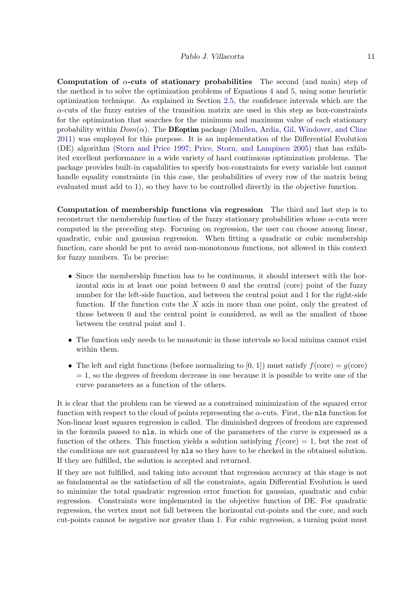Computation of  $\alpha$ -cuts of stationary probabilities The second (and main) step of the method is to solve the optimization problems of Equations [4](#page-6-0) and [5,](#page-6-0) using some heuristic optimization technique. As explained in Section [2.5,](#page-5-0) the confidence intervals which are the  $\alpha$ -cuts of the fuzzy entries of the transition matrix are used in this step as box-constraints for the optimization that searches for the minimum and maximum value of each stationary probability within  $Dom(\alpha)$ . The **DEoptim** package [\(Mullen, Ardia, Gil, Windover, and Cline](#page-22-13) [2011\)](#page-22-13) was employed for this purpose. It is an implementation of the Differential Evolution (DE) algorithm [\(Storn and Price](#page-22-14) [1997;](#page-22-14) [Price, Storn, and Lampinen](#page-22-15) [2005\)](#page-22-15) that has exhibited excellent performance in a wide variety of hard continuous optimization problems. The package provides built-in capabilities to specify box-constraints for every variable but cannot handle equality constraints (in this case, the probabilities of every row of the matrix being evaluated must add to 1), so they have to be controlled directly in the objective function.

Computation of membership functions via regression The third and last step is to reconstruct the membership function of the fuzzy stationary probabilities whose  $\alpha$ -cuts were computed in the preceding step. Focusing on regression, the user can choose among linear, quadratic, cubic and gaussian regression. When fitting a quadratic or cubic membership function, care should be put to avoid non-monotonous functions, not allowed in this context for fuzzy numbers. To be precise:

- Since the membership function has to be continuous, it should intersect with the horizontal axis in at least one point between 0 and the central (core) point of the fuzzy number for the left-side function, and between the central point and 1 for the right-side function. If the function cuts the  $X$  axis in more than one point, only the greatest of those between 0 and the central point is considered, as well as the smallest of those between the central point and 1.
- The function only needs to be monotonic in those intervals so local minima cannot exist within them.
- The left and right functions (before normalizing to [0, 1]) must satisfy  $f(\text{core}) = g(\text{core})$  $= 1$ , so the degrees of freedom decrease in one because it is possible to write one of the curve parameters as a function of the others.

It is clear that the problem can be viewed as a constrained minimization of the squared error function with respect to the cloud of points representing the  $\alpha$ -cuts. First, the nls function for Non-linear least squares regression is called. The diminished degrees of freedom are expressed in the formula passed to nls, in which one of the parameters of the curve is expressed as a function of the others. This function yields a solution satisfying  $f(core) = 1$ , but the rest of the conditions are not guaranteed by nls so they have to be checked in the obtained solution. If they are fulfilled, the solution is accepted and returned.

If they are not fulfilled, and taking into account that regression accuracy at this stage is not as fundamental as the satisfaction of all the constraints, again Differential Evolution is used to minimize the total quadratic regression error function for gaussian, quadratic and cubic regression. Constraints were implemented in the objective function of DE. For quadratic regression, the vertex must not fall between the horizontal cut-points and the core, and such cut-points cannot be negative nor greater than 1. For cubic regression, a turning point must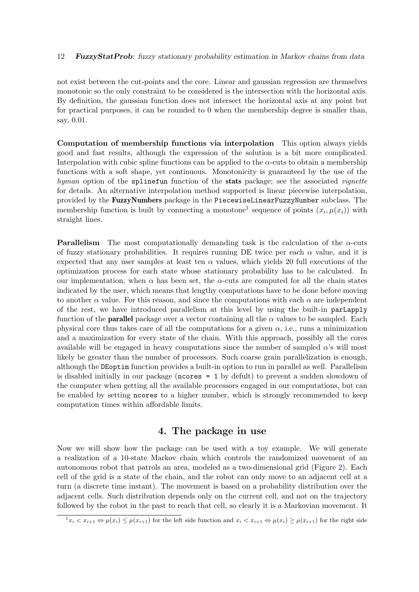not exist between the cut-points and the core. Linear and gaussian regression are themselves monotonic so the only constraint to be considered is the intersection with the horizontal axis. By definition, the gaussian function does not intersect the horizontal axis at any point but for practical purposes, it can be rounded to 0 when the membership degree is smaller than, say, 0.01.

Computation of membership functions via interpolation This option always yields good and fast results, although the expression of the solution is a bit more complicated. Interpolation with cubic spline functions can be applied to the  $\alpha$ -cuts to obtain a membership functions with a soft shape, yet continuous. Monotonicity is guaranteed by the use of the hyman option of the spline function of the stats package; see the associated *vignette* for details. An alternative interpolation method supported is linear piecewise interpolation, provided by the FuzzyNumbers package in the PiecewiseLinearFuzzyNumber subclass. The membership function is built by connecting a monotone<sup>[1](#page-11-1)</sup> sequence of points  $(x_i, \mu(x_i))$  with straight lines.

**Parallelism** The most computationally demanding task is the calculation of the  $\alpha$ -cuts of fuzzy stationary probabilities. It requires running DE twice per each  $\alpha$  value, and it is expected that any user samples at least ten  $\alpha$  values, which yields 20 full executions of the optimization process for each state whose stationary probability has to be calculated. In our implementation, when  $\alpha$  has been set, the  $\alpha$ -cuts are computed for all the chain states indicated by the user, which means that lengthy computations have to be done before moving to another  $\alpha$  value. For this reason, and since the computations with each  $\alpha$  are independent of the rest, we have introduced parallelism at this level by using the built-in parLapply function of the **parallel** package over a vector containing all the  $\alpha$  values to be sampled. Each physical core thus takes care of all the computations for a given  $\alpha$ , i.e., runs a minimization and a maximization for every state of the chain. With this approach, possibly all the cores available will be engaged in heavy computations since the number of sampled  $\alpha$ 's will most likely be greater than the number of processors. Such coarse grain parallelization is enough, although the DEoptim function provides a built-in option to run in parallel as well. Parallelism is disabled initially in our package (ncores = 1 by defult) to prevent a sudden slowdown of the computer when getting all the available processors engaged in our computations, but can be enabled by setting ncores to a higher number, which is strongly recommended to keep computation times within affordable limits.

# 4. The package in use

<span id="page-11-0"></span>Now we will show how the package can be used with a toy example. We will generate a realization of a 10-state Markov chain which controls the randomized movement of an autonomous robot that patrols an area, modeled as a two-dimensional grid (Figure [2\)](#page-12-0). Each cell of the grid is a state of the chain, and the robot can only move to an adjacent cell at a turn (a discrete time instant). The movement is based on a probability distribution over the adjacent cells. Such distribution depends only on the current cell, and not on the trajectory followed by the robot in the past to reach that cell, so clearly it is a Markovian movement. It

<span id="page-11-1"></span> $\frac{1}{1}x_i \leq x_{i+1} \Leftrightarrow \mu(x_i) \leq \mu(x_{i+1})$  for the left side function and  $x_i \leq x_{i+1} \Leftrightarrow \mu(x_i) \geq \mu(x_{i+1})$  for the right side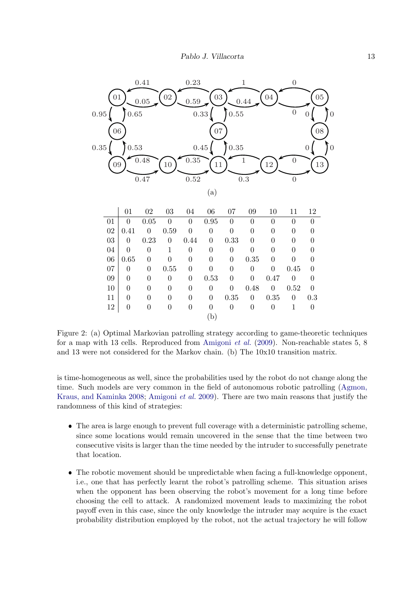<span id="page-12-0"></span>

due to the constraints (5). If the above problem admits a  $s_{\rm eff}$  are the optimal patrolling strategy air  $\alpha$ for the robot. When the above problem is unfeasible, we pass Figure 2: (a) Optimal Markovian patrolling strategy according to game-theoretic techniques for a map with 13 cells. Reproduced from Amigoni et al. (2009). Non-reachable states 5, 8 and 13 were not considered for the Markov chain. (b) The  $10x10$  transition matrix.

In the second stage we find the best response i of the intruder such that the patroller's expected utility is maximum.  $T_{\rm eff}$  is formulated as a multipliear problem,  $\alpha$ time. Such models are very common in the field of autonomous robotic patrolling [\(Agmon,](#page-20-5) is time-homogeneous as well, since the probabilities used by the robot do not change along the randomness of this kind of strategies: [Kraus, and Kaminka](#page-20-5) [2008;](#page-20-5) [Amigoni](#page-20-4) *et al.* [2009\)](#page-20-4). There are two main reasons that justify the randomness of this kind of strategies:

- since some locations would remain uncovered in the sense that the time between two<br>consocutive visits is larger than the time peodod by the intruder to successfully penetrate consecutive visits is larger than the time needed by the intruder to successfully penetrate that location. The area is large enough to prevent full coverage with a deterministic patrolling scheme, that location.
- $\bullet$  The robotic movement should be unpredictable when facing a full-knowledge opponent, The follower movement should be unpredictable when facing a fun-knowledge opponent, i.e., one that has perfectly learnt the robot's patrolling scheme. This situation arises when the opponent has been observing the robot's movement for a long time before choosing the cell to attack. A randomized movement leads to maximizing the robot<br>payoff over in this case, since the only knowledge the intruder may acquire is the exact probability distribution employed by the robot, not the actual trajectory he will follow payoff even in this case, since the only knowledge the intruder may acquire is the exact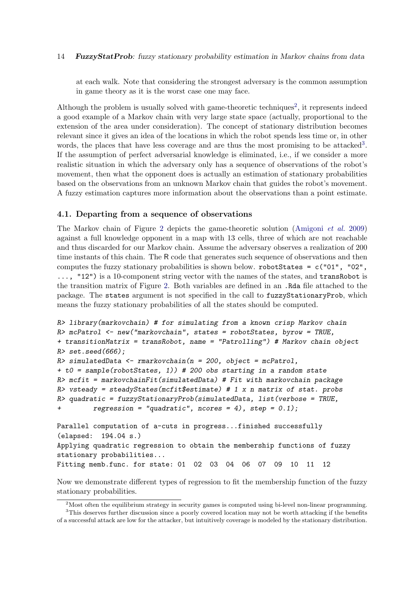at each walk. Note that considering the strongest adversary is the common assumption in game theory as it is the worst case one may face.

Although the problem is usually solved with game-theoretic techniques<sup>[2](#page-13-0)</sup>, it represents indeed a good example of a Markov chain with very large state space (actually, proportional to the extension of the area under consideration). The concept of stationary distribution becomes relevant since it gives an idea of the locations in which the robot spends less time or, in other words, the places that have less coverage and are thus the most promising to be attacked<sup>[3](#page-13-1)</sup>. If the assumption of perfect adversarial knowledge is eliminated, i.e., if we consider a more realistic situation in which the adversary only has a sequence of observations of the robot's movement, then what the opponent does is actually an estimation of stationary probabilities based on the observations from an unknown Markov chain that guides the robot's movement. A fuzzy estimation captures more information about the observations than a point estimate.

## 4.1. Departing from a sequence of observations

The Markov chain of Figure [2](#page-12-0) depicts the game-theoretic solution [\(Amigoni](#page-20-4) et al. [2009\)](#page-20-4) against a full knowledge opponent in a map with 13 cells, three of which are not reachable and thus discarded for our Markov chain. Assume the adversary observes a realization of 200 time instants of this chain. The R code that generates such sequence of observations and then computes the fuzzy stationary probabilities is shown below. robotStates = c("01", "02", ..., "12") is a 10-component string vector with the names of the states, and transRobot is the transition matrix of Figure [2.](#page-12-0) Both variables are defined in an .Rda file attached to the package. The states argument is not specified in the call to fuzzyStationaryProb, which means the fuzzy stationary probabilities of all the states should be computed.

```
R> library(markovchain) # for simulating from a known crisp Markov chain
R> mcPatrol \leq new("markovchain", states = robotStates, byrow = TRUE,
+ transitionMatrix = transRobot, name = "Patrolling") # Markov chain object
R > set. seed(666):
R> simulatedData <- rmarkovchain(n = 200, object = mcPatrol,
+ t0 = sample(robotStates, 1)) # 200 obs starting in a random state
R> mcfit = markovchainFit(simulatedData) # Fit with markovchain package
R> vsteady = steadyStates(mcfit$estimate) # 1 x n matrix of stat. probs
R> quadratic = fuzzyStationaryProb(simulatedData, list(verbose = TRUE,
         regression = "quadratic", ncores = 4), step = 0.1);Parallel computation of a-cuts in progress...finished successfully
(elapsed: 194.04 s.)
Applying quadratic regression to obtain the membership functions of fuzzy
stationary probabilities...
```
Fitting memb.func. for state: 01 02 03 04 06 07 09 10 11 12

Now we demonstrate different types of regression to fit the membership function of the fuzzy stationary probabilities.

<span id="page-13-1"></span><span id="page-13-0"></span><sup>2</sup>Most often the equilibrium strategy in security games is computed using bi-level non-linear programming.

<sup>&</sup>lt;sup>3</sup>This deserves further discussion since a poorly covered location may not be worth attacking if the benefits of a successful attack are low for the attacker, but intuitively coverage is modeled by the stationary distribution.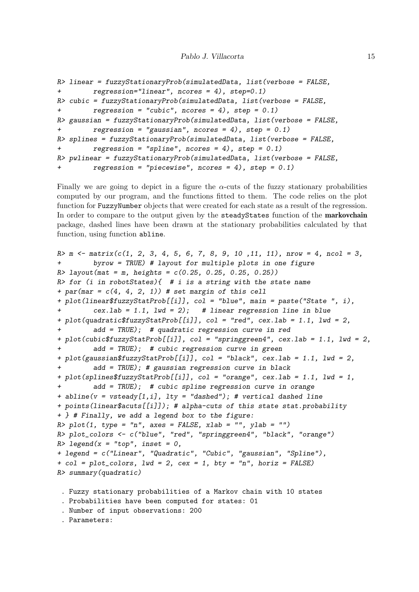```
R> linear = fuzzyStationaryProb(simulatedData, list(verbose = FALSE,
+ regression="linear", ncores = 4), step=0.1)
R> cubic = fuzzyStationaryProb(simulatedData, list(verbose = FALSE,
+ regression = "cubic", ncores = 4), step = 0.1)
R> gaussian = fuzzyStationaryProb(simulatedData, list(verbose = FALSE,
+ regression = "gaussian", ncores = 4), step = 0.1)
R> splines = fuzzyStationaryProb(simulatedData, list(verbose = FALSE,
+ regression = "spline", ncores = 4), step = 0.1)
R> pwlinear = fuzzyStationaryProb(simulatedData, list(verbose = FALSE,
        regression = "piecewise", nocres = 4), step = 0.1)
```
Finally we are going to depict in a figure the  $\alpha$ -cuts of the fuzzy stationary probabilities computed by our program, and the functions fitted to them. The code relies on the plot function for FuzzyNumber objects that were created for each state as a result of the regression. In order to compare to the output given by the steadyStates function of the markovchain package, dashed lines have been drawn at the stationary probabilities calculated by that function, using function abline.

```
R> m \leq matrix(c(1, 2, 3, 4, 5, 6, 7, 8, 9, 10, 11, 11), nrow = 4, ncol = 3,
+ byrow = TRUE) # layout for multiple plots in one figure
R layout(mat = m, heights = c(0.25, 0.25, 0.25, 0.25))
R> for (i in robotStates){ # i is a string with the state name
+ par(mar = c(4, 4, 2, 1)) # set margin of this cell
+ plot(linear$fuzzyStatProb[[i]], col = "blue", main = paste("State ", i),
         cex.lab = 1.1, lwd = 2); # linear regression line in blue
+ plot(quadratic$fuzzyStatProb[[i]], col = "red", cex.lab = 1.1, lwd = 2,
         add = TRUE; # quadratic regression curve in red
+ plot(cubic$fuzzyStatProb[[i]], col = "springgreen4", cex.lab = 1.1, lwd = 2,
         add = TRUE; # cubic regression curve in green
+ plot(gaussian$fuzzyStatProb[[i]], col = "black", cex.lab = 1.1, lwd = 2,
+ add = TRUE); # gaussian regression curve in black
+ plot(splines$fuzzyStatProb[[i]], col = "orange", cex.lab = 1.1, lwd = 1,
         add = TRUE; # cubic spline regression curve in orange
+ abline(v = vsteady[1,i], lty = "dashed"); # vertical dashed line
+ points(linear$acuts[[i]]); # alpha-cuts of this state stat.probability
+ } # Finally, we add a legend box to the figure:
R plot(1, type = "n", axes = FALSE, xlab = "", ylab = "")R> plot_colors <- c("blue", "red", "springgreen4", "black", "orange")
R> legend(x = "top", inset = 0,
+ legend = c("Linear", "Quadratic", "Cubic", "gaussian", "Spline"),
+ col = plot_colors, lwd = 2, cex = 1, bty = "n", horiz = FALSE)
R> summary(quadratic)
 . Fuzzy stationary probabilities of a Markov chain with 10 states
```

```
. Probabilities have been computed for states: 01
```

```
. Number of input observations: 200
```

```
. Parameters:
```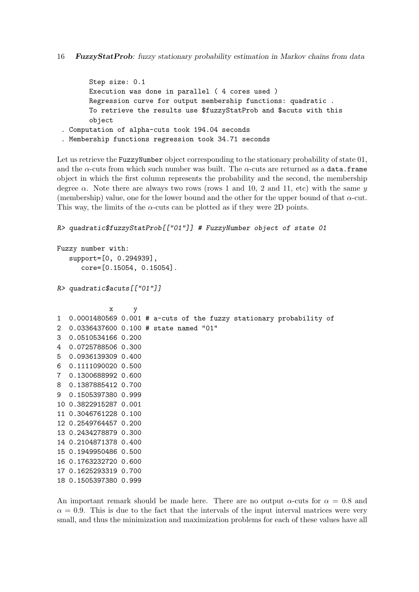```
Step size: 0.1
      Execution was done in parallel ( 4 cores used )
      Regression curve for output membership functions: quadratic .
       To retrieve the results use $fuzzyStatProb and $acuts with this
       object
. Computation of alpha-cuts took 194.04 seconds
. Membership functions regression took 34.71 seconds
```
Let us retrieve the FuzzyNumber object corresponding to the stationary probability of state 01, and the  $\alpha$ -cuts from which such number was built. The  $\alpha$ -cuts are returned as a data.frame object in which the first column represents the probability and the second, the membership degree  $\alpha$ . Note there are always two rows (rows 1 and 10, 2 and 11, etc) with the same y (membership) value, one for the lower bound and the other for the upper bound of that  $\alpha$ -cut. This way, the limits of the  $\alpha$ -cuts can be plotted as if they were 2D points.

```
R> quadratic$fuzzyStatProb[["01"]] # FuzzyNumber object of state 01
```

```
Fuzzy number with:
   support=[0, 0.294939],
      core=[0.15054, 0.15054].
```

```
R> quadratic$acuts[["01"]]
```

```
x y
1 0.0001480569 0.001 # a-cuts of the fuzzy stationary probability of
2 0.0336437600 0.100 # state named "01"
3 0.0510534166 0.200
4 0.0725788506 0.300
5 0.0936139309 0.400
6 0.1111090020 0.500
7 0.1300688992 0.600
8 0.1387885412 0.700
9 0.1505397380 0.999
10 0.3822915287 0.001
11 0.3046761228 0.100
12 0.2549764457 0.200
13 0.2434278879 0.300
14 0.2104871378 0.400
15 0.1949950486 0.500
16 0.1763232720 0.600
17 0.1625293319 0.700
18 0.1505397380 0.999
```
An important remark should be made here. There are no output  $\alpha$ -cuts for  $\alpha = 0.8$  and  $\alpha = 0.9$ . This is due to the fact that the intervals of the input interval matrices were very small, and thus the minimization and maximization problems for each of these values have all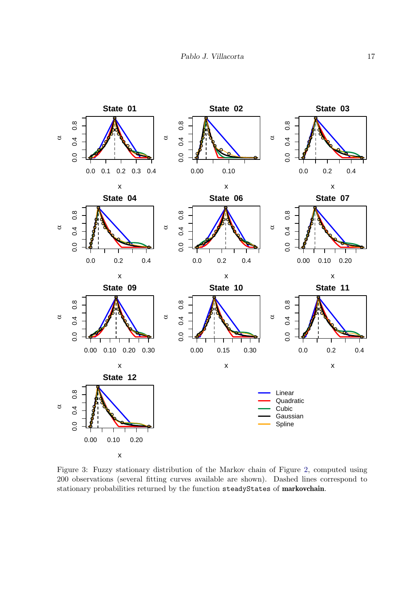<span id="page-16-0"></span>

Figure 3: Fuzzy stationary distribution of the Markov chain of Figure [2,](#page-12-0) computed using 200 observations (several fitting curves available are shown). Dashed lines correspond to stationary probabilities returned by the function steadyStates of markovchain.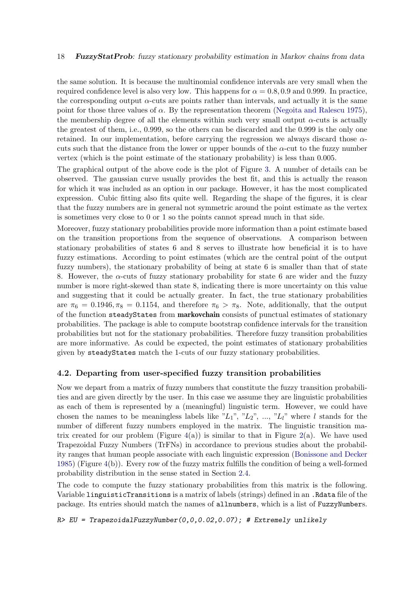the same solution. It is because the multinomial confidence intervals are very small when the required confidence level is also very low. This happens for  $\alpha = 0.8, 0.9$  and 0.999. In practice, the corresponding output  $\alpha$ -cuts are points rather than intervals, and actually it is the same point for those three values of  $\alpha$ . By the representation theorem [\(Negoita and Ralescu](#page-22-10) [1975\)](#page-22-10), the membership degree of all the elements within such very small output  $\alpha$ -cuts is actually the greatest of them, i.e., 0.999, so the others can be discarded and the 0.999 is the only one retained. In our implementation, before carrying the regression we always discard those  $\alpha$ cuts such that the distance from the lower or upper bounds of the  $\alpha$ -cut to the fuzzy number vertex (which is the point estimate of the stationary probability) is less than 0.005.

The graphical output of the above code is the plot of Figure [3.](#page-16-0) A number of details can be observed. The gaussian curve usually provides the best fit, and this is actually the reason for which it was included as an option in our package. However, it has the most complicated expression. Cubic fitting also fits quite well. Regarding the shape of the figures, it is clear that the fuzzy numbers are in general not symmetric around the point estimate as the vertex is sometimes very close to 0 or 1 so the points cannot spread much in that side.

Moreover, fuzzy stationary probabilities provide more information than a point estimate based on the transition proportions from the sequence of observations. A comparison between stationary probabilities of states 6 and 8 serves to illustrate how beneficial it is to have fuzzy estimations. According to point estimates (which are the central point of the output fuzzy numbers), the stationary probability of being at state 6 is smaller than that of state 8. However, the  $\alpha$ -cuts of fuzzy stationary probability for state 6 are wider and the fuzzy number is more right-skewed than state 8, indicating there is more uncertainty on this value and suggesting that it could be actually greater. In fact, the true stationary probabilities are  $\pi_6 = 0.1946, \pi_8 = 0.1154$ , and therefore  $\pi_6 > \pi_8$ . Note, additionally, that the output of the function steadyStates from markovchain consists of punctual estimates of stationary probabilities. The package is able to compute bootstrap confidence intervals for the transition probabilities but not for the stationary probabilities. Therefore fuzzy transition probabilities are more informative. As could be expected, the point estimates of stationary probabilities given by steadyStates match the 1-cuts of our fuzzy stationary probabilities.

### 4.2. Departing from user-specified fuzzy transition probabilities

Now we depart from a matrix of fuzzy numbers that constitute the fuzzy transition probabilities and are given directly by the user. In this case we assume they are linguistic probabilities as each of them is represented by a (meaningful) linguistic term. However, we could have chosen the names to be meaningless labels like " $L_1$ ", " $L_2$ ", ..., " $L_l$ " where l stands for the number of different fuzzy numbers employed in the matrix. The linguistic transition matrix created for our problem (Figure  $4(a)$  $4(a)$ ) is similar to that in Figure [2\(](#page-12-0)a). We have used Trapezoidal Fuzzy Numbers (TrFNs) in accordance to previous studies about the probability ranges that human people associate with each linguistic expression [\(Bonissone and Decker](#page-21-15) [1985\)](#page-21-15) (Figure [4\(](#page-18-1)b)). Every row of the fuzzy matrix fulfills the condition of being a well-formed probability distribution in the sense stated in Section [2.4.](#page-4-1)

The code to compute the fuzzy stationary probabilities from this matrix is the following. Variable linguisticTransitions is a matrix of labels (strings) defined in an .Rdata file of the package. Its entries should match the names of allnumbers, which is a list of FuzzyNumbers.

R> EU = TrapezoidalFuzzyNumber(0,0,0.02,0.07); # Extremely unlikely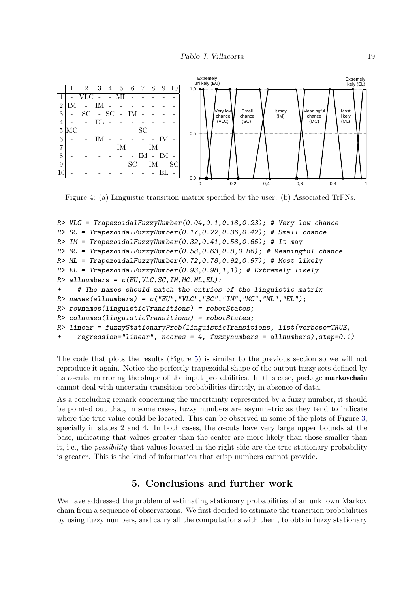<span id="page-18-1"></span>

Figure 4: (a) Linguistic transition matrix specified by the user. (b) Associated TrFNs.

```
R> VLC = TrapezoidalFuzzyNumber(0.04, 0.1, 0.18, 0.23); # Very low chance
R> SC = Trapezoidal FuzzyNumber(0.17, 0.22, 0.36, 0.42);# Small chance
R IM = TrapezoidalFuzzyNumber(0.32,0.41,0.58,0.65); # It may
R> MC = Trapezoidal FuzzyNumber (0.58, 0.63, 0.8, 0.86);# Meaningful chance
R> ML = TrapezoidalFuzzyNumber(0.72,0.78,0.92,0.97); # Most likely
R > EL = TrapezoidalFuzzyNumber(0.93,0.98,1,1); # Extremely likely
R > allnumbers = c(EU, VLC, SC, IM, MC, ML, EL);
+ # The names should match the entries of the linguistic matrix
R names(allnumbers) = c("EU", "VLC", "SC", "IM", "MC", "ML", "EL");
R> rownames(linguisticTransitions) = robotStates;
R> colnames(linguisticTransitions) = robotStates;
R> linear = fuzzyStationaryProb(linguisticTransitions, list(verbose=TRUE,
+ regression="linear", ncores = 4, fuzzynumbers = allnumbers),step=0.1)
```
The code that plots the results (Figure [5\)](#page-19-0) is similar to the previous section so we will not reproduce it again. Notice the perfectly trapezoidal shape of the output fuzzy sets defined by its  $\alpha$ -cuts, mirroring the shape of the input probabilities. In this case, package **markovchain** cannot deal with uncertain transition probabilities directly, in absence of data.

As a concluding remark concerning the uncertainty represented by a fuzzy number, it should be pointed out that, in some cases, fuzzy numbers are asymmetric as they tend to indicate where the true value could be located. This can be observed in some of the plots of Figure [3,](#page-16-0) specially in states 2 and 4. In both cases, the  $\alpha$ -cuts have very large upper bounds at the base, indicating that values greater than the center are more likely than those smaller than it, i.e., the *possibility* that values located in the right side are the true stationary probability is greater. This is the kind of information that crisp numbers cannot provide.

# 5. Conclusions and further work

<span id="page-18-0"></span>We have addressed the problem of estimating stationary probabilities of an unknown Markov chain from a sequence of observations. We first decided to estimate the transition probabilities by using fuzzy numbers, and carry all the computations with them, to obtain fuzzy stationary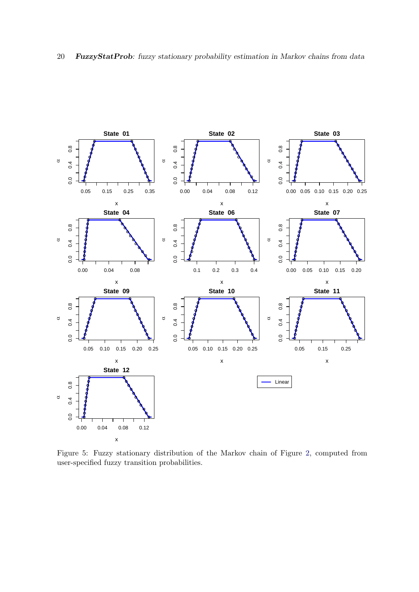<span id="page-19-0"></span>

Figure 5: Fuzzy stationary distribution of the Markov chain of Figure [2,](#page-12-0) computed from user-specified fuzzy transition probabilities.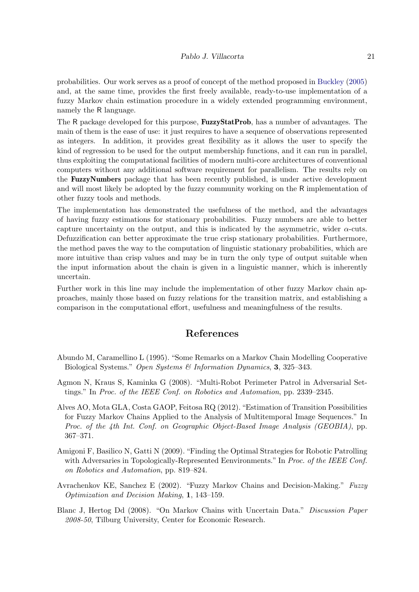probabilities. Our work serves as a proof of concept of the method proposed in [Buckley](#page-21-8) [\(2005\)](#page-21-8) and, at the same time, provides the first freely available, ready-to-use implementation of a fuzzy Markov chain estimation procedure in a widely extended programming environment, namely the R language.

The R package developed for this purpose, **FuzzyStatProb**, has a number of advantages. The main of them is the ease of use: it just requires to have a sequence of observations represented as integers. In addition, it provides great flexibility as it allows the user to specify the kind of regression to be used for the output membership functions, and it can run in parallel, thus exploiting the computational facilities of modern multi-core architectures of conventional computers without any additional software requirement for parallelism. The results rely on the FuzzyNumbers package that has been recently published, is under active development and will most likely be adopted by the fuzzy community working on the R implementation of other fuzzy tools and methods.

The implementation has demonstrated the usefulness of the method, and the advantages of having fuzzy estimations for stationary probabilities. Fuzzy numbers are able to better capture uncertainty on the output, and this is indicated by the asymmetric, wider  $\alpha$ -cuts. Defuzzification can better approximate the true crisp stationary probabilities. Furthermore, the method paves the way to the computation of linguistic stationary probabilities, which are more intuitive than crisp values and may be in turn the only type of output suitable when the input information about the chain is given in a linguistic manner, which is inherently uncertain.

Further work in this line may include the implementation of other fuzzy Markov chain approaches, mainly those based on fuzzy relations for the transition matrix, and establishing a comparison in the computational effort, usefulness and meaningfulness of the results.

# References

- <span id="page-20-0"></span>Abundo M, Caramellino L (1995). "Some Remarks on a Markov Chain Modelling Cooperative Biological Systems." Open Systems & Information Dynamics, 3, 325–343.
- <span id="page-20-5"></span>Agmon N, Kraus S, Kaminka G (2008). "Multi-Robot Perimeter Patrol in Adversarial Settings." In Proc. of the IEEE Conf. on Robotics and Automation, pp. 2339–2345.
- <span id="page-20-2"></span>Alves AO, Mota GLA, Costa GAOP, Feitosa RQ (2012). "Estimation of Transition Possibilities for Fuzzy Markov Chains Applied to the Analysis of Multitemporal Image Sequences." In Proc. of the 4th Int. Conf. on Geographic Object-Based Image Analysis (GEOBIA), pp. 367–371.
- <span id="page-20-4"></span>Amigoni F, Basilico N, Gatti N (2009). "Finding the Optimal Strategies for Robotic Patrolling with Adversaries in Topologically-Represented Eenvironments." In Proc. of the IEEE Conf. on Robotics and Automation, pp. 819–824.
- <span id="page-20-3"></span>Avrachenkov KE, Sanchez E (2002). "Fuzzy Markov Chains and Decision-Making." Fuzzy Optimization and Decision Making, 1, 143–159.
- <span id="page-20-1"></span>Blanc J, Hertog Dd (2008). "On Markov Chains with Uncertain Data." Discussion Paper 2008-50, Tilburg University, Center for Economic Research.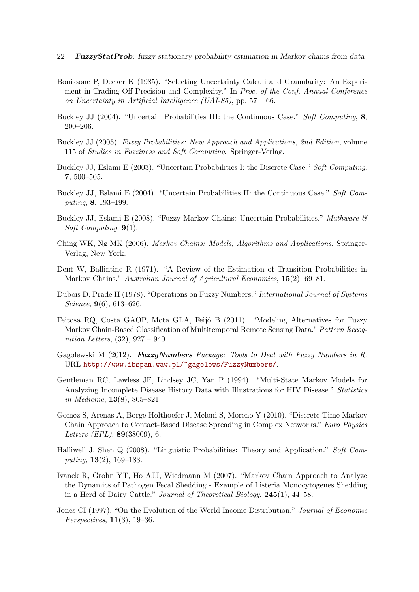- 22 FuzzyStatProb: fuzzy stationary probability estimation in Markov chains from data
- <span id="page-21-15"></span>Bonissone P, Decker K (1985). "Selecting Uncertainty Calculi and Granularity: An Experiment in Trading-Off Precision and Complexity." In Proc. of the Conf. Annual Conference on Uncertainty in Artificial Intelligence (UAI-85), pp.  $57 - 66$ .
- <span id="page-21-7"></span>Buckley JJ (2004). "Uncertain Probabilities III: the Continuous Case." Soft Computing, 8, 200–206.
- <span id="page-21-8"></span>Buckley JJ (2005). Fuzzy Probabilities: New Approach and Applications, 2nd Edition, volume 115 of Studies in Fuzziness and Soft Computing. Springer-Verlag.
- <span id="page-21-9"></span>Buckley J.J. Eslami E (2003). "Uncertain Probabilities I: the Discrete Case." Soft Computing, 7, 500–505.
- <span id="page-21-10"></span>Buckley JJ, Eslami E (2004). "Uncertain Probabilities II: the Continuous Case." Soft Computing, 8, 193–199.
- <span id="page-21-11"></span>Buckley JJ, Eslami E (2008). "Fuzzy Markov Chains: Uncertain Probabilities." Mathware  $\mathcal{B}$ Soft Computing,  $9(1)$ .
- <span id="page-21-4"></span>Ching WK, Ng MK (2006). Markov Chains: Models, Algorithms and Applications. Springer-Verlag, New York.
- <span id="page-21-5"></span>Dent W, Ballintine R (1971). "A Review of the Estimation of Transition Probabilities in Markov Chains." Australian Journal of Agricultural Economics, 15(2), 69–81.
- <span id="page-21-13"></span>Dubois D, Prade H (1978). "Operations on Fuzzy Numbers." International Journal of Systems Science, **9**(6), 613–626.
- <span id="page-21-6"></span>Feitosa RQ, Costa GAOP, Mota GLA, Feijó B (2011). "Modeling Alternatives for Fuzzy Markov Chain-Based Classification of Multitemporal Remote Sensing Data." Pattern Recognition Letters,  $(32)$ ,  $927 - 940$ .
- <span id="page-21-12"></span>Gagolewski M  $(2012)$ . FuzzyNumbers Package: Tools to Deal with Fuzzy Numbers in R. URL <http://www.ibspan.waw.pl/~gagolews/FuzzyNumbers/>.
- <span id="page-21-0"></span>Gentleman RC, Lawless JF, Lindsey JC, Yan P (1994). "Multi-State Markov Models for Analyzing Incomplete Disease History Data with Illustrations for HIV Disease." Statistics in Medicine, 13(8), 805–821.
- <span id="page-21-2"></span>Gomez S, Arenas A, Borge-Holthoefer J, Meloni S, Moreno Y (2010). "Discrete-Time Markov Chain Approach to Contact-Based Disease Spreading in Complex Networks." Euro Physics Letters (EPL), 89(38009), 6.
- <span id="page-21-14"></span>Halliwell J, Shen Q (2008). "Linguistic Probabilities: Theory and Application." Soft Computing,  $13(2)$ ,  $169-183$ .
- <span id="page-21-1"></span>Ivanek R, Grohn YT, Ho AJJ, Wiedmann M (2007). "Markov Chain Approach to Analyze the Dynamics of Pathogen Fecal Shedding - Example of Listeria Monocytogenes Shedding in a Herd of Dairy Cattle." Journal of Theoretical Biology, 245(1), 44–58.
- <span id="page-21-3"></span>Jones CI (1997). "On the Evolution of the World Income Distribution." Journal of Economic Perspectives, 11(3), 19–36.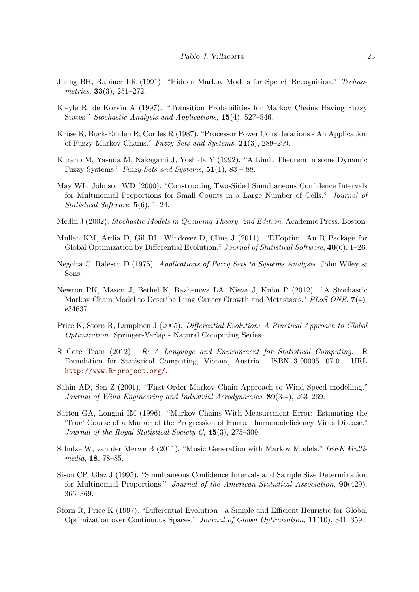- <span id="page-22-4"></span>Juang BH, Rabiner LR (1991). "Hidden Markov Models for Speech Recognition." Technometrics, 33(3), 251–272.
- <span id="page-22-7"></span>Kleyle R, de Korvin A (1997). "Transition Probabilities for Markov Chains Having Fuzzy States." Stochastic Analysis and Applications, 15(4), 527–546.
- <span id="page-22-6"></span>Kruse R, Buck-Emden R, Cordes R (1987). "Processor Power Considerations - An Application of Fuzzy Markov Chains." Fuzzy Sets and Systems, 21(3), 289–299.
- <span id="page-22-8"></span>Kurano M, Yasuda M, Nakagami J, Yoshida Y (1992). "A Limit Theorem in some Dynamic Fuzzy Systems." Fuzzy Sets and Systems,  $51(1)$ ,  $83 - 88$ .
- <span id="page-22-12"></span>May WL, Johnson WD (2000). "Constructing Two-Sided Simultaneous Confidence Intervals for Multinomial Proportions for Small Counts in a Large Number of Cells." Journal of Statistical Software, 5(6), 1–24.
- <span id="page-22-0"></span>Medhi J (2002). Stochastic Models in Queueing Theory, 2nd Edition. Academic Press, Boston.
- <span id="page-22-13"></span>Mullen KM, Ardia D, Gil DL, Windover D, Cline J (2011). "DEoptim: An R Package for Global Optimization by Differential Evolution." Journal of Statistical Software,  $40(6)$ , 1–26.
- <span id="page-22-10"></span>Negoita C, Ralescu D (1975). Applications of Fuzzy Sets to Systems Analysis. John Wiley & Sons.
- <span id="page-22-2"></span>Newton PK, Mason J, Bethel K, Bazhenova LA, Nieva J, Kuhn P (2012). "A Stochastic Markov Chain Model to Describe Lung Cancer Growth and Metastasis." PLoS ONE,  $7(4)$ , e34637.
- <span id="page-22-15"></span>Price K, Storn R, Lampinen J (2005). Differential Evolution: A Practical Approach to Global Optimization. Springer-Verlag - Natural Computing Series.
- <span id="page-22-9"></span>R Core Team (2012). R: A Language and Environment for Statistical Computing. R Foundation for Statistical Computing, Vienna, Austria. ISBN 3-900051-07-0. URL <http://www.R-project.org/>.
- <span id="page-22-3"></span>Sahin AD, Sen Z (2001). "First-Order Markov Chain Approach to Wind Speed modelling." Journal of Wind Engineering and Industrial Aerodynamics, 89(3-4), 263–269.
- <span id="page-22-1"></span>Satten GA, Longini IM (1996). "Markov Chains With Measurement Error: Estimating the 'True' Course of a Marker of the Progression of Human Immunodeficiency Virus Disease." Journal of the Royal Statistical Society C, 45(3), 275–309.
- <span id="page-22-5"></span>Schulze W, van der Merwe B (2011). "Music Generation with Markov Models." IEEE Multimedia, 18, 78–85.
- <span id="page-22-11"></span>Sison CP, Glaz J (1995). "Simultaneous Confidence Intervals and Sample Size Determination for Multinomial Proportions." Journal of the American Statistical Association, 90(429), 366–369.
- <span id="page-22-14"></span>Storn R, Price K (1997). "Differential Evolution - a Simple and Efficient Heuristic for Global Optimization over Continuous Spaces." Journal of Global Optimization, 11(10), 341–359.